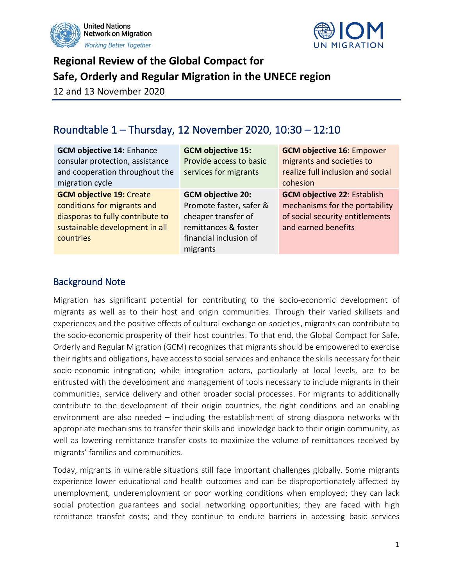



# **Regional Review of the Global Compact for Safe, Orderly and Regular Migration in the UNECE region**

12 and 13 November 2020

## Roundtable 1 – Thursday, 12 November 2020, 10:30 – 12:10

| <b>GCM objective 14: Enhance</b><br>consular protection, assistance<br>and cooperation throughout the<br>migration cycle                          | <b>GCM objective 15:</b><br>Provide access to basic<br>services for migrants                                                             | <b>GCM objective 16: Empower</b><br>migrants and societies to<br>realize full inclusion and social<br>cohesion                 |
|---------------------------------------------------------------------------------------------------------------------------------------------------|------------------------------------------------------------------------------------------------------------------------------------------|--------------------------------------------------------------------------------------------------------------------------------|
| <b>GCM objective 19: Create</b><br>conditions for migrants and<br>diasporas to fully contribute to<br>sustainable development in all<br>countries | <b>GCM objective 20:</b><br>Promote faster, safer &<br>cheaper transfer of<br>remittances & foster<br>financial inclusion of<br>migrants | <b>GCM objective 22: Establish</b><br>mechanisms for the portability<br>of social security entitlements<br>and earned benefits |

#### Background Note

Migration has significant potential for contributing to the socio-economic development of migrants as well as to their host and origin communities. Through their varied skillsets and experiences and the positive effects of cultural exchange on societies, migrants can contribute to the socio-economic prosperity of their host countries. To that end, the Global Compact for Safe, Orderly and Regular Migration (GCM) recognizes that migrants should be empowered to exercise their rights and obligations, have access to social services and enhance the skills necessary for their socio-economic integration; while integration actors, particularly at local levels, are to be entrusted with the development and management of tools necessary to include migrants in their communities, service delivery and other broader social processes. For migrants to additionally contribute to the development of their origin countries, the right conditions and an enabling environment are also needed – including the establishment of strong diaspora networks with appropriate mechanisms to transfer their skills and knowledge back to their origin community, as well as lowering remittance transfer costs to maximize the volume of remittances received by migrants' families and communities.

Today, migrants in vulnerable situations still face important challenges globally. Some migrants experience lower educational and health outcomes and can be disproportionately affected by unemployment, underemployment or poor working conditions when employed; they can lack social protection guarantees and social networking opportunities; they are faced with high remittance transfer costs; and they continue to endure barriers in accessing basic services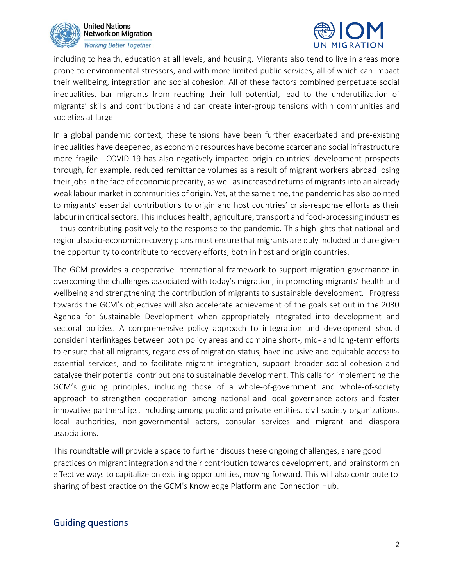



including to health, education at all levels, and housing. Migrants also tend to live in areas more prone to environmental stressors, and with more limited public services, all of which can impact their wellbeing, integration and social cohesion. All of these factors combined perpetuate social inequalities, bar migrants from reaching their full potential, lead to the underutilization of migrants' skills and contributions and can create inter-group tensions within communities and societies at large.

In a global pandemic context, these tensions have been further exacerbated and pre-existing inequalities have deepened, as economic resources have become scarcer and social infrastructure more fragile. COVID-19 has also negatively impacted origin countries' development prospects through, for example, reduced remittance volumes as a result of migrant workers abroad losing their jobs in the face of economic precarity, as well as increased returns of migrants into an already weak labour market in communities of origin. Yet, at the same time, the pandemic has also pointed to migrants' essential contributions to origin and host countries' crisis-response efforts as their labour in critical sectors. This includes health, agriculture, transport and food-processing industries – thus contributing positively to the response to the pandemic. This highlights that national and regional socio-economic recovery plans must ensure that migrants are duly included and are given the opportunity to contribute to recovery efforts, both in host and origin countries.

The GCM provides a cooperative international framework to support migration governance in overcoming the challenges associated with today's migration, in promoting migrants' health and wellbeing and strengthening the contribution of migrants to sustainable development. Progress towards the GCM's objectives will also accelerate achievement of the goals set out in the 2030 Agenda for Sustainable Development when appropriately integrated into development and sectoral policies. A comprehensive policy approach to integration and development should consider interlinkages between both policy areas and combine short-, mid- and long-term efforts to ensure that all migrants, regardless of migration status, have inclusive and equitable access to essential services, and to facilitate migrant integration, support broader social cohesion and catalyse their potential contributions to sustainable development. This calls for implementing the GCM's guiding principles, including those of a whole-of-government and whole-of-society approach to strengthen cooperation among national and local governance actors and foster innovative partnerships, including among public and private entities, civil society organizations, local authorities, non-governmental actors, consular services and migrant and diaspora associations.

This roundtable will provide a space to further discuss these ongoing challenges, share good practices on migrant integration and their contribution towards development, and brainstorm on effective ways to capitalize on existing opportunities, moving forward. This will also contribute to sharing of best practice on the GCM's Knowledge Platform and Connection Hub.

#### Guiding questions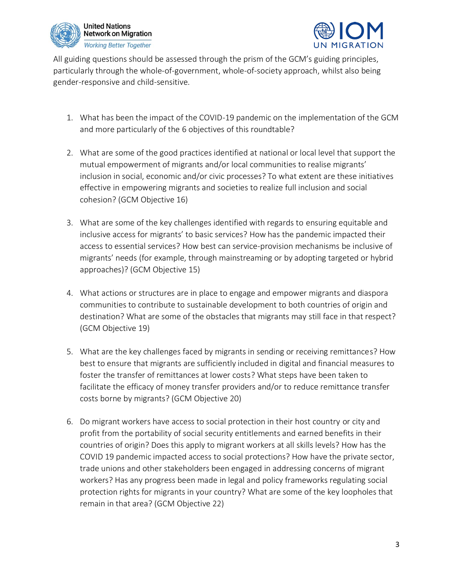



All guiding questions should be assessed through the prism of the GCM's guiding principles, particularly through the whole-of-government, whole-of-society approach, whilst also being gender-responsive and child-sensitive.

- 1. What has been the impact of the COVID-19 pandemic on the implementation of the GCM and more particularly of the 6 objectives of this roundtable?
- 2. What are some of the good practices identified at national or local level that support the mutual empowerment of migrants and/or local communities to realise migrants' inclusion in social, economic and/or civic processes? To what extent are these initiatives effective in empowering migrants and societies to realize full inclusion and social cohesion? (GCM Objective 16)
- 3. What are some of the key challenges identified with regards to ensuring equitable and inclusive access for migrants' to basic services? How has the pandemic impacted their access to essential services? How best can service-provision mechanisms be inclusive of migrants' needs (for example, through mainstreaming or by adopting targeted or hybrid approaches)? (GCM Objective 15)
- 4. What actions or structures are in place to engage and empower migrants and diaspora communities to contribute to sustainable development to both countries of origin and destination? What are some of the obstacles that migrants may still face in that respect? (GCM Objective 19)
- 5. What are the key challenges faced by migrants in sending or receiving remittances? How best to ensure that migrants are sufficiently included in digital and financial measures to foster the transfer of remittances at lower costs? What steps have been taken to facilitate the efficacy of money transfer providers and/or to reduce remittance transfer costs borne by migrants? (GCM Objective 20)
- 6. Do migrant workers have access to social protection in their host country or city and profit from the portability of social security entitlements and earned benefits in their countries of origin? Does this apply to migrant workers at all skills levels? How has the COVID 19 pandemic impacted access to social protections? How have the private sector, trade unions and other stakeholders been engaged in addressing concerns of migrant workers? Has any progress been made in legal and policy frameworks regulating social protection rights for migrants in your country? What are some of the key loopholes that remain in that area? (GCM Objective 22)